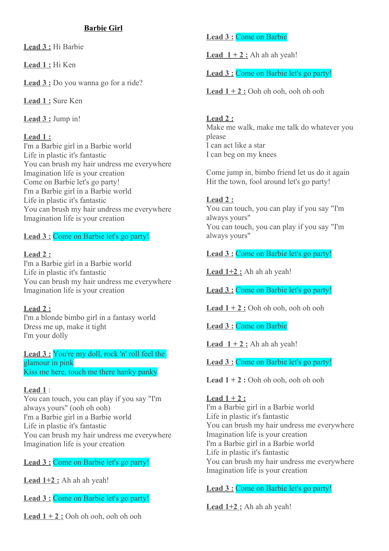#### **Barbie Girl**

 **Lead 3 :** Hi Barbie

 **Lead 1 :** Hi Ken

 **Lead 3 :** Do you wanna go for a ride?

 **Lead 1 :** Sure Ken

 **Lead 3 :** Jump in!

#### **Lead 1 :**

I'm a Barbie girl in a Barbie world Life in plastic it's fantastic You can brush my hair undress me everywhere Imagination life is your creation Come on Barbie let's go party! I'm a Barbie girl in a Barbie world Life in plastic it's fantastic You can brush my hair undress me everywhere Imagination life is your creation

## **Lead 3 :** Come on Barbie let's go party!

#### **Lead 2 :**

I'm a Barbie girl in a Barbie world Life in plastic it's fantastic You can brush my hair undress me everywhere Imagination life is your creation

### **Lead 2 :**

I'm a blonde bimbo girl in a fantasy world Dress me up, make it tight I'm your dolly

Lead 3 : You're my doll, rock 'n' roll feel the glamour in pink Kiss me here, touch me there hanky panky

#### **Lead 1** :

You can touch, you can play if you say "I'm always yours" (ooh oh ooh) I'm a Barbie girl in a Barbie world Life in plastic it's fantastic You can brush my hair undress me everywhere Imagination life is your creation

### **Lead 3 :** Come on Barbie let's go party!

**Lead**  $1+2$ **:** Ah ah ah yeah!

Lead 3 : Come on Barbie let's go party!

**Lead**  $1 + 2$ **:** Ooh oh ooh, ooh oh ooh

## **Lead 3 :** Come on Barbie

**Lead**  $1 + 2$ **:** Ah ah ah yeah!

Lead 3 : Come on Barbie let's go party!

 **Lead 1 + 2 :** Ooh oh ooh, ooh oh ooh

# **Lead 2 :**

Make me walk, make me talk do whatever you please I can act like a star I can beg on my knees

Come jump in, bimbo friend let us do it again Hit the town, fool around let's go party!

### **Lead 2 :**

You can touch, you can play if you say "I'm always yours" You can touch, you can play if you say "I'm always yours"

 **Lead 3 :** Come on Barbie let's go party!

Lead  $1+2$ : Ah ah ah yeah!

 **Lead 3 :** Come on Barbie let's go party!

**Lead**  $1 + 2$ **:** Ooh oh ooh, ooh oh ooh

 **Lead 3 :** Come on Barbie

**Lead**  $1 + 2$ : Ah ah ah yeah!

Lead 3 : Come on Barbie let's go party!

**Lead 1 + 2 :** Ooh oh ooh, ooh oh ooh

### **Lead 1 + 2 :**

I'm a Barbie girl in a Barbie world Life in plastic it's fantastic You can brush my hair undress me everywhere Imagination life is your creation I'm a Barbie girl in a Barbie world Life in plastic it's fantastic You can brush my hair undress me everywhere Imagination life is your creation

## **Lead 3 :** Come on Barbie let's go party!

Lead  $1+2$ : Ah ah ah yeah!